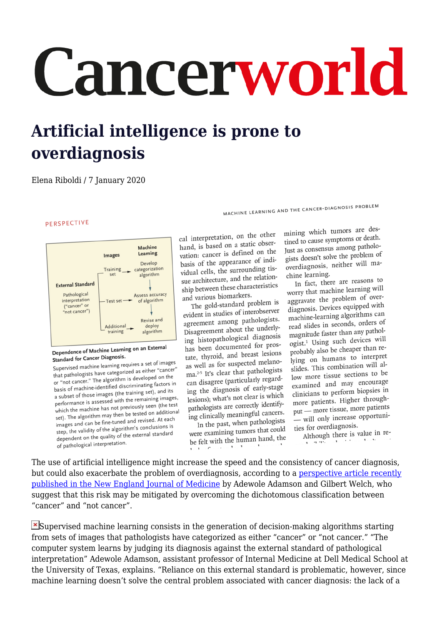## Cancerworld

## **Artificial intelligence is prone to overdiagnosis**

## Elena Riboldi / 7 January 2020

PERSPECTIVE



## Dependence of Machine Learning on an External Standard for Cancer Diagnosis.

Standard for Cancer Diagnosis:<br>Supervised machine learning requires a set of images Supervised machine learning requires a set of mage-<br>that pathologists have categorized as either "cancer" that pathologists have categorized as either called<br>or "not cancer." The algorithm is developed on the<br>or "not cancer." The algorithm is developed on the or "not cancer." The algorithm is developed on the<br>basis of machine-identified discriminating factors in basis of machine-identified discriminating terms<br>a subset of those images (the training set), and its<br>a subset of those images a subset of those images (the training see,), and<br>performance is assessed with the remaining images, performance is assessed with the remaining many<br>which the machine has not previously seen (the test<br>which the machine has not previously seen (the test which the machine has not previously seen the contract set). The algorithm may then be tested on additional set). The algorithm may then be tested on additional<br>images and can be fine-tuned and revised. At each images and can be fine-tuned and revised. step, the validity of the algorithms conclude the<br>dependent on the quality of the external standard of pathological interpretation.

cal interpretation, on the other hand, is based on a static obserhand, is based on a state of the<br>vation: cancer is defined on the basis of the appearance of indibasis of the appearance of vidual cells, the surrounding tissuch architecture, and the relationship between these characteristics and various biomarkers.

The gold-standard problem is evident in studies of interobserver evident in studies of mereagreement among painting bisagreement about the main f has been documented for proshas been documented for Ftate, thyroid, and breast research as well as for suspected  $\frac{1}{25}$  ma.<sup>2-5</sup> It's clear that pathologists ma.<sup>25</sup> It's clear that pathologies<br>can disagree (particularly regarding the diagnosis of early-stage<br>ing the diagnosis of early-stage lesions); what's not clear is which esions); what's not clear to<br>pathologists are correctly identifypathologists are correctly the correctly

In the past, when pathologists were examining tumors that could be felt with the human hand, the

mining which tumors are destined to cause symptoms or death. Just as consensus among patholo-Just as consensus among particular<br>gists doesn't solve the problem of gists doesn't solve the present chine learning.

MACHINE LEARNING AND THE CANCER-DIAGNOSIS PROBLEM

In fact, there are reasons to<br>In fact, there are reasons to In fact, there are reasons worry that machine rearring<br>aggravate the problem of overaggravate the problem of even diagnosis. Devices equipped<br>machine-learning algorithms can machine-learning algorithms magnitude faster than any pathologist.<sup>1</sup> Using such devices will ogist.<sup>2</sup> Using such device-<br>probably also be cheaper than reprobably also be encaper comlying on numans to  $m = 1$ <br>slides. This combination will allow more tissue sections to be examined and may encourage examined and may ensured elinicians to perform step-<br>more patients. Higher throughput — more tissue, more patients put — more ussue, more proties for overdiagnosis.

Although there is value in re- $-9.332$ 

The use of artificial intelligence might increase the speed and the consistency of cancer diagnosis, but could also exacerbate the problem of overdiagnosis, according to a [perspective article recently](https://www.nejm.org/doi/full/10.1056/NEJMp1907407) [published in the New England Journal of Medicine](https://www.nejm.org/doi/full/10.1056/NEJMp1907407) by Adewole Adamson and Gilbert Welch, who suggest that this risk may be mitigated by overcoming the dichotomous classification between "cancer" and "not cancer".

 $\mathbf{\Sigma}$ Supervised machine learning consists in the generation of decision-making algorithms starting from sets of images that pathologists have categorized as either "cancer" or "not cancer." "The computer system learns by judging its diagnosis against the external standard of pathological interpretation" Adewole Adamson, assistant professor of Internal Medicine at Dell Medical School at the University of Texas, explains. "Reliance on this external standard is problematic, however, since machine learning doesn't solve the central problem associated with cancer diagnosis: the lack of a